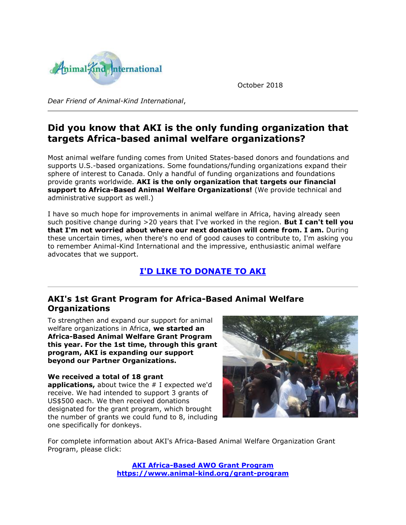

October 2018

*Dear Friend of Animal-Kind International*,

# **Did you know that AKI is the only funding organization that targets Africa-based animal welfare organizations?**

Most animal welfare funding comes from United States-based donors and foundations and supports U.S.-based organizations. Some foundations/funding organizations expand their sphere of interest to Canada. Only a handful of funding organizations and foundations provide grants worldwide. **AKI is the only organization that targets our financial support to Africa-Based Animal Welfare Organizations!** (We provide technical and administrative support as well.)

I have so much hope for improvements in animal welfare in Africa, having already seen such positive change during >20 years that I've worked in the region. **But I can't tell you that I'm not worried about where our next donation will come from. I am.** During these uncertain times, when there's no end of good causes to contribute to, I'm asking you to remember Animal-Kind International and the impressive, enthusiastic animal welfare advocates that we support.

## **[I'D LIKE TO DONATE TO AKI](http://cts.vresp.com/c/?AnimalKindInternatio/71c0aadcb0/4d75da415c/d0f68621b3)**

### **AKI's 1st Grant Program for Africa-Based Animal Welfare Organizations**

To strengthen and expand our support for animal welfare organizations in Africa, **we started an Africa-Based Animal Welfare Grant Program this year. For the 1st time, through this grant program, AKI is expanding our support beyond our Partner Organizations.**

**We received a total of 18 grant applications,** about twice the # I expected we'd receive. We had intended to support 3 grants of US\$500 each. We then received donations designated for the grant program, which brought the number of grants we could fund to 8, including one specifically for donkeys.



For complete information about AKI's Africa-Based Animal Welfare Organization Grant Program, please click:

> **[AKI Africa-Based AWO Grant Program](http://cts.vresp.com/c/?AnimalKindInternatio/71c0aadcb0/4d75da415c/3222043337) [https://www.animal-kind.org/grant-program](http://cts.vresp.com/c/?AnimalKindInternatio/71c0aadcb0/4d75da415c/017b18f42d)**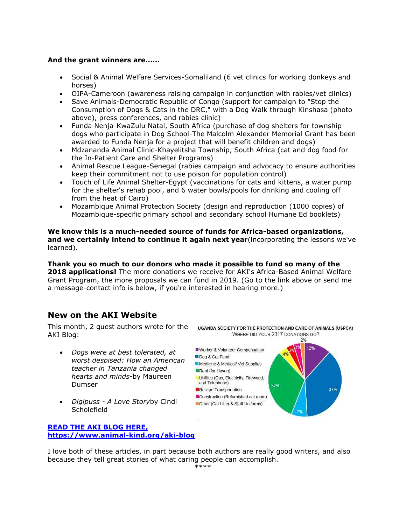#### **And the grant winners are......**

- Social & Animal Welfare Services-Somaliland (6 vet clinics for working donkeys and horses)
- OIPA-Cameroon (awareness raising campaign in conjunction with rabies/vet clinics)
- Save Animals-Democratic Republic of Congo (support for campaign to "Stop the Consumption of Dogs & Cats in the DRC," with a Dog Walk through Kinshasa (photo above), press conferences, and rabies clinic)
- Funda Nenja-KwaZulu Natal, South Africa (purchase of dog shelters for township dogs who participate in Dog School-The Malcolm Alexander Memorial Grant has been awarded to Funda Nenja for a project that will benefit children and dogs)
- Mdzananda Animal Clinic-Khayelitsha Township, South Africa (cat and dog food for the In-Patient Care and Shelter Programs)
- Animal Rescue League-Senegal (rabies campaign and advocacy to ensure authorities keep their commitment not to use poison for population control)
- Touch of Life Animal Shelter-Egypt (vaccinations for cats and kittens, a water pump for the shelter's rehab pool, and 6 water bowls/pools for drinking and cooling off from the heat of Cairo)
- Mozambique Animal Protection Society (design and reproduction (1000 copies) of Mozambique-specific primary school and secondary school Humane Ed booklets)

**We know this is a much-needed source of funds for Africa-based organizations, and we certainly intend to continue it again next year**(incorporating the lessons we've learned).

**Thank you so much to our donors who made it possible to fund so many of the 2018 applications!** The more donations we receive for AKI's Africa-Based Animal Welfare Grant Program, the more proposals we can fund in 2019. (Go to the link above or send me a message-contact info is below, if you're interested in hearing more.)

### **New on the AKI Website**

This month, 2 guest authors wrote for the AKI Blog:

- *Dogs were at best tolerated, at worst despised: How an American teacher in Tanzania changed hearts and minds*-by Maureen Dumser
- *Digipuss - A Love Story*by Cindi **Scholefield**

**[READ THE AKI BLOG HERE,](http://cts.vresp.com/c/?AnimalKindInternatio/71c0aadcb0/4d75da415c/7253264837)  [https://www.animal-kind.org/aki-blog](http://cts.vresp.com/c/?AnimalKindInternatio/71c0aadcb0/4d75da415c/7253264837)**

UGANDA SOCIETY FOR THE PROTECTION AND CARE OF ANIMALS (USPCA) WHERE DID YOUR 2017 DONATIONS GO? 2%



I love both of these articles, in part because both authors are really good writers, and also because they tell great stories of what caring people can accomplish.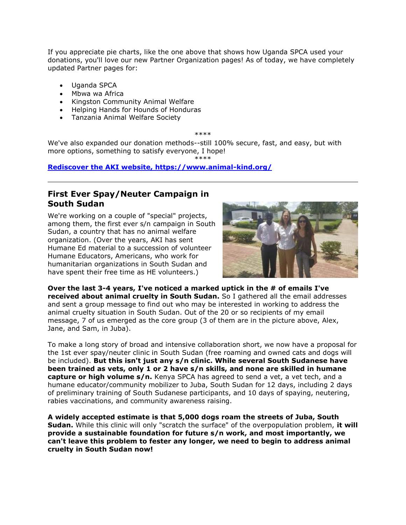If you appreciate pie charts, like the one above that shows how Uganda SPCA used your donations, you'll love our new Partner Organization pages! As of today, we have completely updated Partner pages for:

- Uganda SPCA
- Mbwa wa Africa
- Kingston Community Animal Welfare
- Helping Hands for Hounds of Honduras
- Tanzania Animal Welfare Society

\*\*\*\*

\*\*\*\*

We've also expanded our donation methods--still 100% secure, fast, and easy, but with more options, something to satisfy everyone, I hope!

**[Rediscover the AKI website, https://www.animal-kind.org/](http://cts.vresp.com/c/?AnimalKindInternatio/71c0aadcb0/4d75da415c/6efafe718a)**

### **First Ever Spay/Neuter Campaign in South Sudan**

We're working on a couple of "special" projects, among them, the first ever s/n campaign in South Sudan, a country that has no animal welfare organization. (Over the years, AKI has sent Humane Ed material to a succession of volunteer Humane Educators, Americans, who work for humanitarian organizations in South Sudan and have spent their free time as HE volunteers.)



**Over the last 3-4 years, I've noticed a marked uptick in the # of emails I've received about animal cruelty in South Sudan.** So I gathered all the email addresses and sent a group message to find out who may be interested in working to address the animal cruelty situation in South Sudan. Out of the 20 or so recipients of my email message, 7 of us emerged as the core group (3 of them are in the picture above, Alex, Jane, and Sam, in Juba).

To make a long story of broad and intensive collaboration short, we now have a proposal for the 1st ever spay/neuter clinic in South Sudan (free roaming and owned cats and dogs will be included). **But this isn't just any s/n clinic. While several South Sudanese have been trained as vets, only 1 or 2 have s/n skills, and none are skilled in humane capture or high volume s/n.** Kenya SPCA has agreed to send a vet, a vet tech, and a humane educator/community mobilizer to Juba, South Sudan for 12 days, including 2 days of preliminary training of South Sudanese participants, and 10 days of spaying, neutering, rabies vaccinations, and community awareness raising.

**A widely accepted estimate is that 5,000 dogs roam the streets of Juba, South Sudan.** While this clinic will only "scratch the surface" of the overpopulation problem, **it will provide a sustainable foundation for future s/n work, and most importantly, we can't leave this problem to fester any longer, we need to begin to address animal cruelty in South Sudan now!**